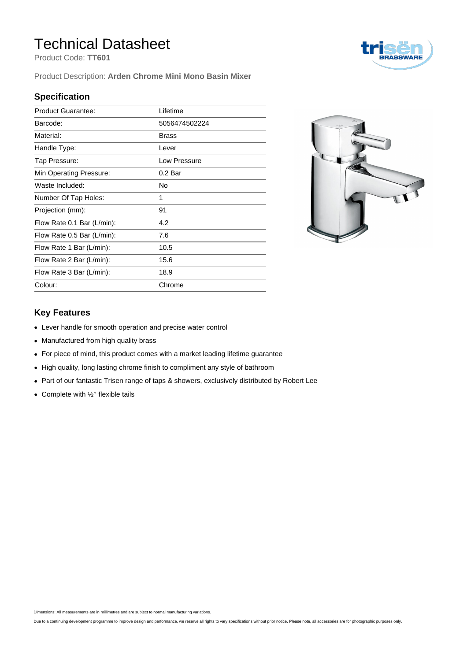## Technical Datasheet

Product Code: **TT601**

Product Description: **Arden Chrome Mini Mono Basin Mixer**

#### **Specification**

| <b>Product Guarantee:</b>  | Lifetime      |
|----------------------------|---------------|
| Barcode:                   | 5056474502224 |
| Material:                  | <b>Brass</b>  |
| Handle Type:               | Lever         |
| Tap Pressure:              | Low Pressure  |
| Min Operating Pressure:    | 0.2 Bar       |
| Waste Included:            | No            |
| Number Of Tap Holes:       | 1             |
| Projection (mm):           | 91            |
| Flow Rate 0.1 Bar (L/min): | 4.2           |
| Flow Rate 0.5 Bar (L/min): | 7.6           |
| Flow Rate 1 Bar (L/min):   | 10.5          |
| Flow Rate 2 Bar (L/min):   | 15.6          |
| Flow Rate 3 Bar (L/min):   | 18.9          |
| Colour:                    | Chrome        |



#### **Key Features**

- Lever handle for smooth operation and precise water control
- Manufactured from high quality brass
- For piece of mind, this product comes with a market leading lifetime guarantee
- High quality, long lasting chrome finish to compliment any style of bathroom
- Part of our fantastic Trisen range of taps & showers, exclusively distributed by Robert Lee
- $\bullet$  Complete with  $\frac{1}{2}$ " flexible tails

Dimensions: All measurements are in millimetres and are subject to normal manufacturing variations.

Due to a continuing development programme to improve design and performance, we reserve all rights to vary specifications without prior notice. Please note, all accessories are for photographic purposes only.